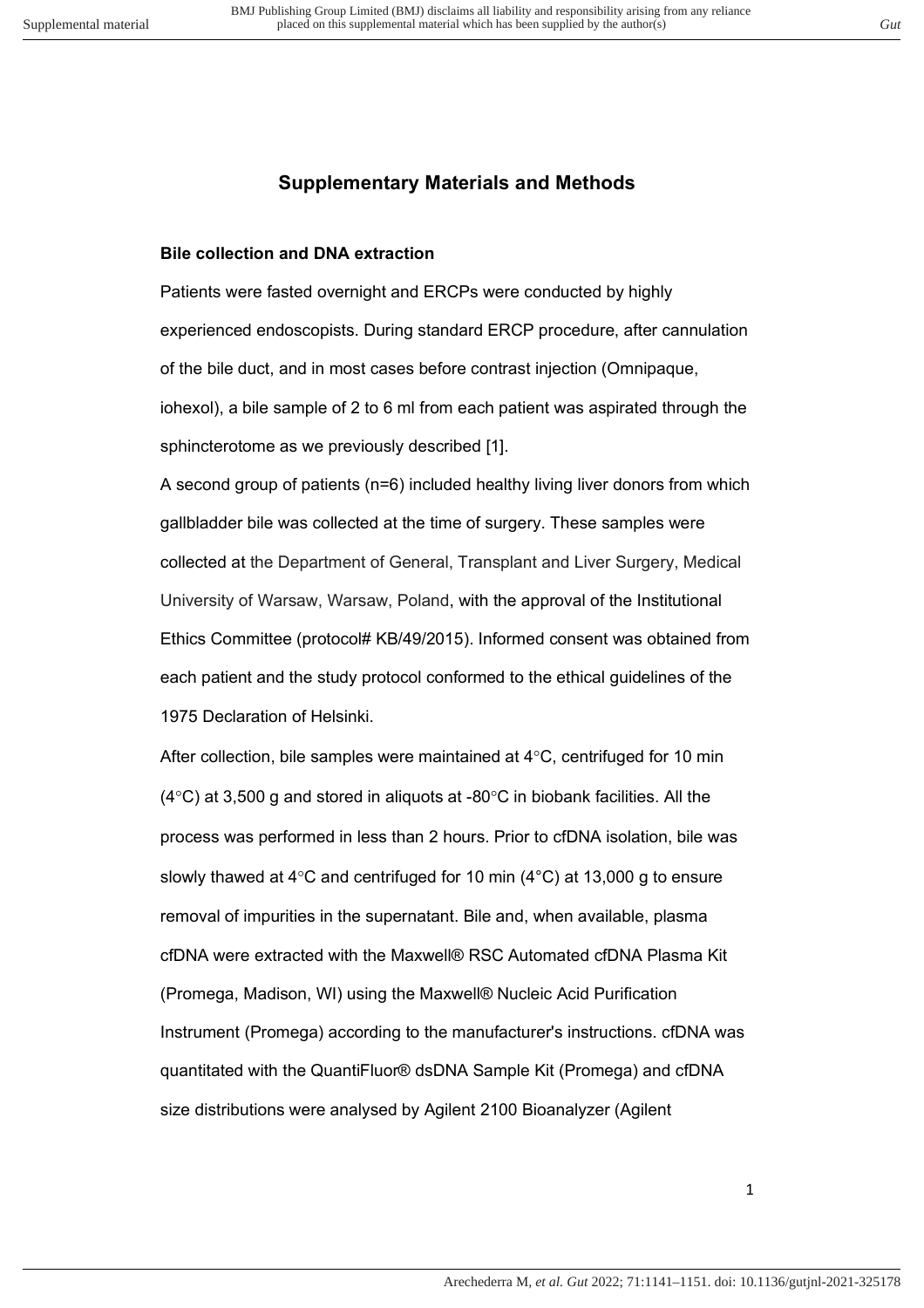## **Supplementary Materials and Methods**

#### **Bile collection and DNA extraction**

Patients were fasted overnight and ERCPs were conducted by highly experienced endoscopists. During standard ERCP procedure, after cannulation of the bile duct, and in most cases before contrast injection (Omnipaque, iohexol), a bile sample of 2 to 6 ml from each patient was aspirated through the sphincterotome as we previously described [1].

A second group of patients (n=6) included healthy living liver donors from which gallbladder bile was collected at the time of surgery. These samples were collected at the Department of General, Transplant and Liver Surgery, Medical University of Warsaw, Warsaw, Poland, with the approval of the Institutional Ethics Committee (protocol# KB/49/2015). Informed consent was obtained from each patient and the study protocol conformed to the ethical guidelines of the 1975 Declaration of Helsinki.

After collection, bile samples were maintained at 4°C, centrifuged for 10 min  $(4^{\circ}$ C) at 3,500 g and stored in aliquots at -80 $^{\circ}$ C in biobank facilities. All the process was performed in less than 2 hours. Prior to cfDNA isolation, bile was slowly thawed at 4°C and centrifuged for 10 min (4°C) at 13,000 g to ensure removal of impurities in the supernatant. Bile and, when available, plasma cfDNA were extracted with the Maxwell® RSC Automated cfDNA Plasma Kit (Promega, Madison, WI) using the Maxwell® Nucleic Acid Purification Instrument (Promega) according to the manufacturer's instructions. cfDNA was quantitated with the QuantiFluor® dsDNA Sample Kit (Promega) and cfDNA size distributions were analysed by Agilent 2100 Bioanalyzer (Agilent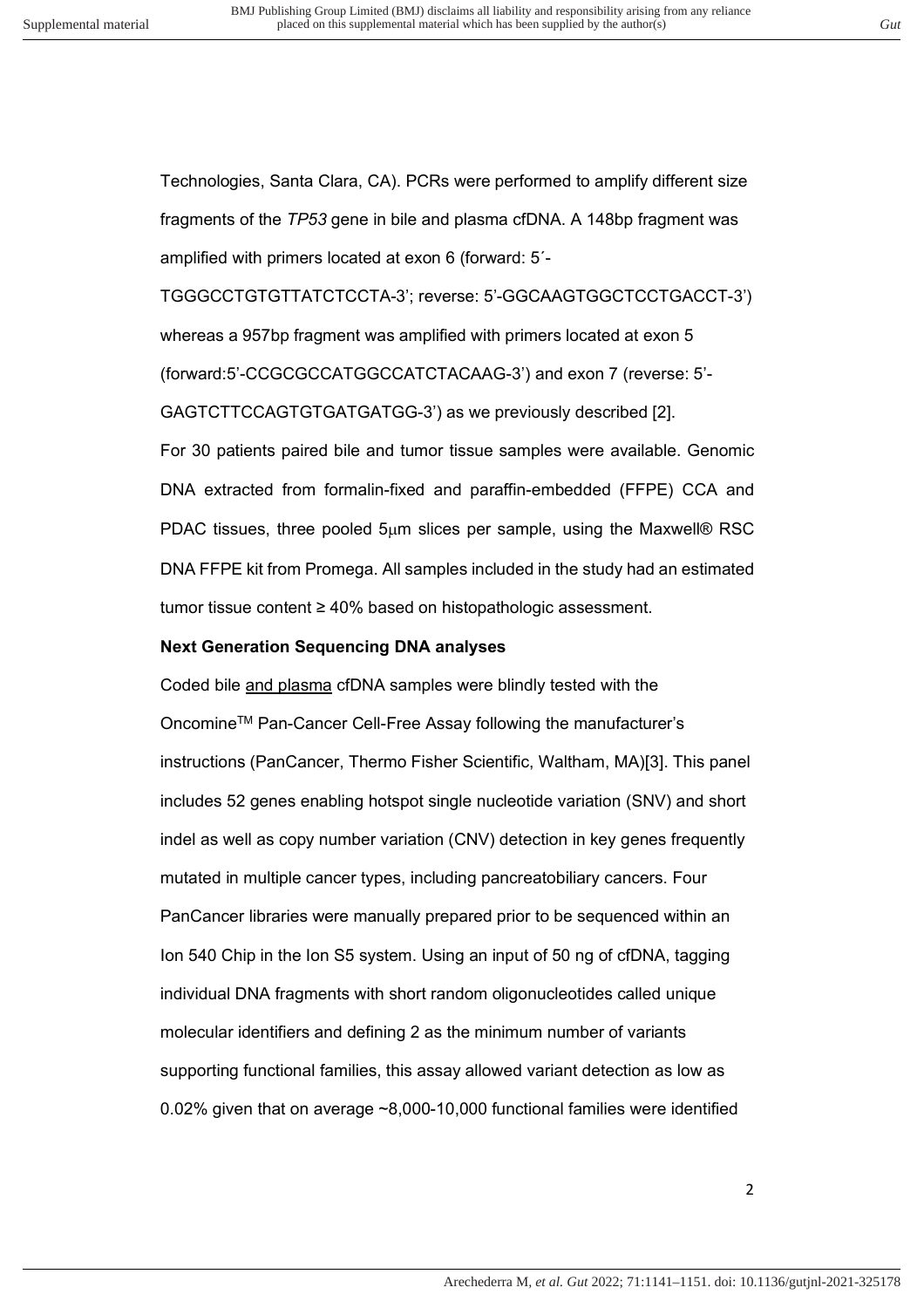Technologies, Santa Clara, CA). PCRs were performed to amplify different size fragments of the *TP53* gene in bile and plasma cfDNA. A 148bp fragment was amplified with primers located at exon 6 (forward: 5´-

TGGGCCTGTGTTATCTCCTA-3'; reverse: 5'-GGCAAGTGGCTCCTGACCT-3') whereas a 957bp fragment was amplified with primers located at exon 5 (forward:5'-CCGCGCCATGGCCATCTACAAG-3') and exon 7 (reverse: 5'- GAGTCTTCCAGTGTGATGATGG-3') as we previously described [2]. For 30 patients paired bile and tumor tissue samples were available. Genomic DNA extracted from formalin-fixed and paraffin-embedded (FFPE) CCA and PDAC tissues, three pooled  $5\mu$ m slices per sample, using the Maxwell® RSC DNA FFPE kit from Promega. All samples included in the study had an estimated tumor tissue content ≥ 40% based on histopathologic assessment.

#### **Next Generation Sequencing DNA analyses**

Coded bile and plasma cfDNA samples were blindly tested with the OncomineTM Pan-Cancer Cell-Free Assay following the manufacturer's instructions (PanCancer, Thermo Fisher Scientific, Waltham, MA)[3]. This panel includes 52 genes enabling hotspot single nucleotide variation (SNV) and short indel as well as copy number variation (CNV) detection in key genes frequently mutated in multiple cancer types, including pancreatobiliary cancers. Four PanCancer libraries were manually prepared prior to be sequenced within an Ion 540 Chip in the Ion S5 system. Using an input of 50 ng of cfDNA, tagging individual DNA fragments with short random oligonucleotides called unique molecular identifiers and defining 2 as the minimum number of variants supporting functional families, this assay allowed variant detection as low as 0.02% given that on average ~8,000-10,000 functional families were identified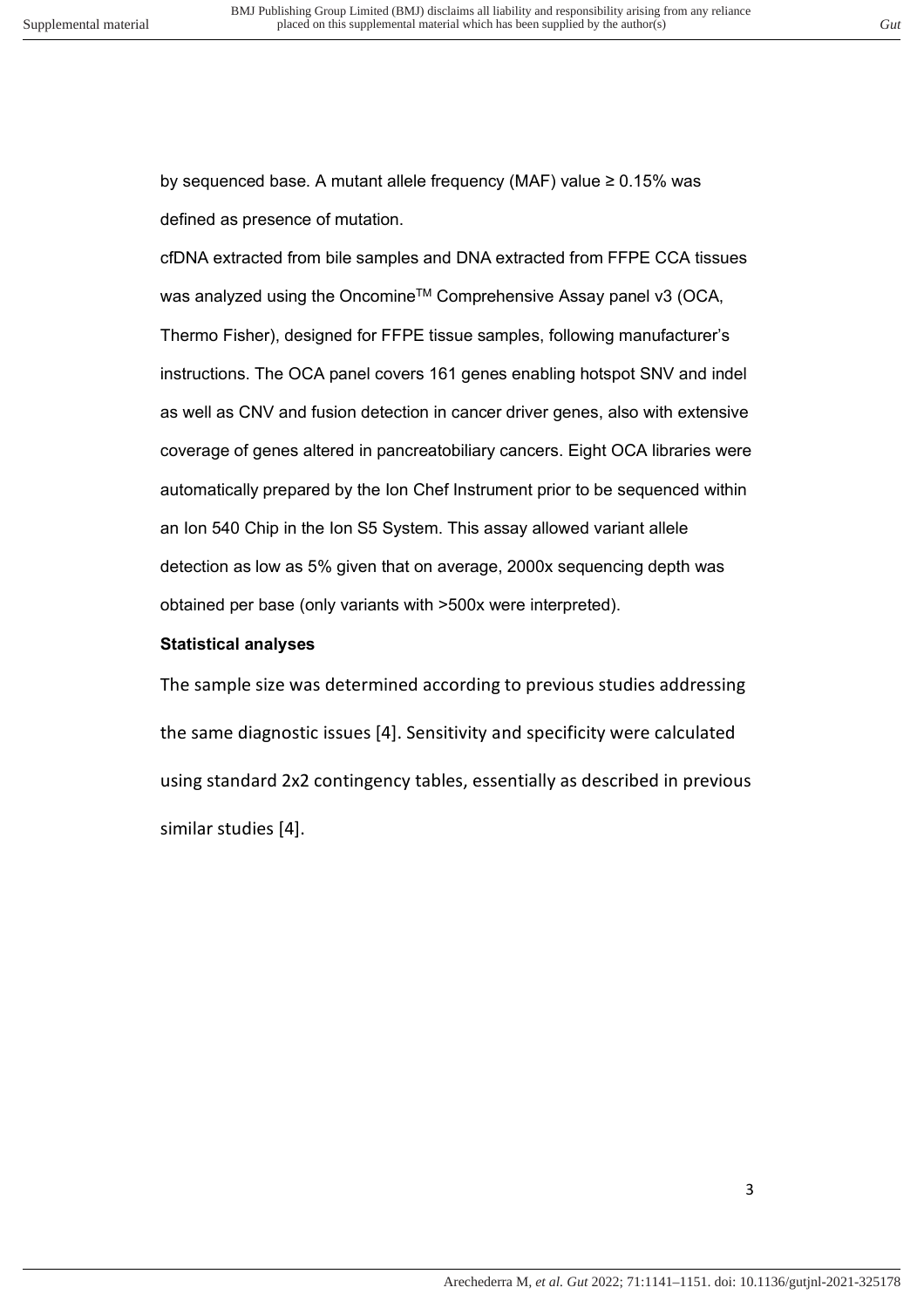by sequenced base. A mutant allele frequency (MAF) value ≥ 0.15% was defined as presence of mutation.

cfDNA extracted from bile samples and DNA extracted from FFPE CCA tissues was analyzed using the Oncomine<sup>™</sup> Comprehensive Assay panel v3 (OCA, Thermo Fisher), designed for FFPE tissue samples, following manufacturer's instructions. The OCA panel covers 161 genes enabling hotspot SNV and indel as well as CNV and fusion detection in cancer driver genes, also with extensive coverage of genes altered in pancreatobiliary cancers. Eight OCA libraries were automatically prepared by the Ion Chef Instrument prior to be sequenced within an Ion 540 Chip in the Ion S5 System. This assay allowed variant allele detection as low as 5% given that on average, 2000x sequencing depth was obtained per base (only variants with >500x were interpreted).

### **Statistical analyses**

The sample size was determined according to previous studies addressing the same diagnostic issues [4]. Sensitivity and specificity were calculated using standard 2x2 contingency tables, essentially as described in previous similar studies [4].